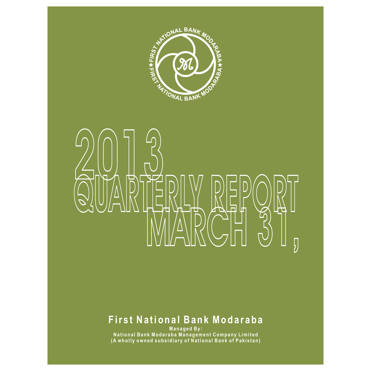

# **QUARTERLY REFORM MARCH 31,** 2019 (U)

# **F ir s t Na ti o n a l Ba n k Mo d a r a b a**

**Ma n a g e d By :**  National Bank Modaraba Management Company Limited (A wholly owned subsidiary of National Bank of Pakistan)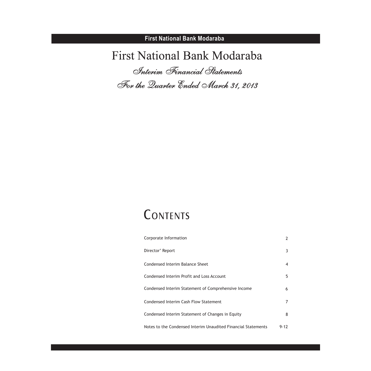# First National Bank Modaraba *Interim Financial Statements For the Quarter Ended March 31, 2013*

# CONTENTS

| Corporate Information                                         | 2        |
|---------------------------------------------------------------|----------|
| Director' Report                                              | 3        |
| Condensed Interim Balance Sheet                               | 4        |
| Condensed Interim Profit and Loss Account                     | 5        |
| Condensed Interim Statement of Comprehensive Income           | 6        |
| Condensed Interim Cash Flow Statement                         |          |
| Condensed Interim Statement of Changes in Equity              | 8        |
| Notes to the Condensed Interim Unaudited Financial Statements | $9 - 12$ |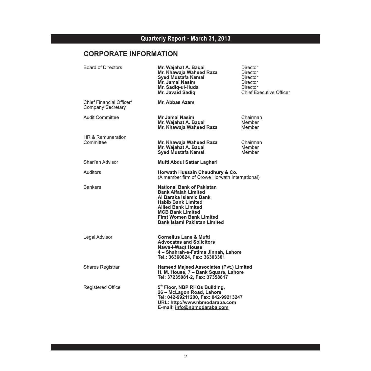# **CORPORATE INFORMATION**

| <b>Board of Directors</b>                     | Mr. Wajahat A. Baqai<br>Mr. Khawaja Waheed Raza<br><b>Syed Mustafa Kamal</b><br><b>Mr. Jamal Nasim</b><br>Mr. Sadig-ul-Huda<br>Mr. Javaid Sadiq                                                                                                           | Director<br>Director<br>Director<br><b>Director</b><br><b>Director</b><br><b>Chief Executive Officer</b> |
|-----------------------------------------------|-----------------------------------------------------------------------------------------------------------------------------------------------------------------------------------------------------------------------------------------------------------|----------------------------------------------------------------------------------------------------------|
| Chief Financial Officer/<br>Company Secretary | <b>Mr. Abbas Azam</b>                                                                                                                                                                                                                                     |                                                                                                          |
| <b>Audit Committee</b>                        | <b>Mr Jamal Nasim</b><br>Mr. Wajahat A. Bagai<br>Mr. Khawaja Waheed Raza                                                                                                                                                                                  | Chairman<br>Member<br>Member                                                                             |
| HR & Remuneration<br>Committee                | Mr. Khawaja Waheed Raza<br>Mr. Wajahat A. Bagai<br><b>Syed Mustafa Kamal</b>                                                                                                                                                                              | Chairman<br>Member<br>Member                                                                             |
| Shari'ah Advisor                              | Mufti Abdul Sattar Laghari                                                                                                                                                                                                                                |                                                                                                          |
| Auditors                                      | Horwath Hussain Chaudhury & Co.<br>(A member firm of Crowe Horwath International)                                                                                                                                                                         |                                                                                                          |
| <b>Bankers</b>                                | <b>National Bank of Pakistan</b><br><b>Bank Alfalah Limited</b><br>Al Baraka Islamic Bank<br><b>Habib Bank Limited</b><br><b>Allied Bank Limited</b><br><b>MCB Bank Limited</b><br><b>First Women Bank Limited</b><br><b>Bank Islami Pakistan Limited</b> |                                                                                                          |
| Legal Advisor                                 | <b>Cornelius Lane &amp; Mufti</b><br><b>Advocates and Solicitors</b><br><b>Nawa-i-Wagt House</b><br>4 – Shahrah-e-Fatima Jinnah. Lahore<br>Tel.: 36360824, Fax: 36303301                                                                                  |                                                                                                          |
| <b>Shares Registrar</b>                       | <b>Hameed Majeed Associates (Pvt.) Limited</b><br>H. M. House, 7 - Bank Square, Lahore<br>Tel: 37235081-2, Fax: 37358817                                                                                                                                  |                                                                                                          |
| <b>Registered Office</b>                      | 5th Floor, NBP RHQs Building,<br>26 - McLagon Road, Lahore<br>Tel: 042-99211200, Fax: 042-99213247<br>URL: http://www.nbmodaraba.com<br>E-mail: info@nbmodaraba.com                                                                                       |                                                                                                          |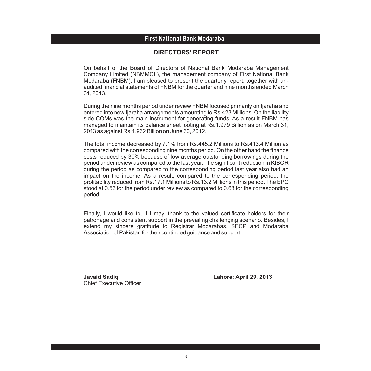### **First National Bank Modaraba First National Bank Modaraba**

#### **DIRECTORS' REPORT**

On behalf of the Board of Directors of National Bank Modaraba Management Company Limited (NBMMCL), the management company of First National Bank Modaraba (FNBM), I am pleased to present the quarterly report, together with unaudited financial statements of FNBM for the quarter and nine months ended March 31, 2013.

During the nine months period under review FNBM focused primarily on Ijaraha and entered into new Ijaraha arrangements amounting to Rs.423 Millions. On the liability side COMs was the main instrument for generating funds. As a result FNBM has managed to maintain its balance sheet footing at Rs.1.979 Billion as on March 31, 2013 as against Rs.1.962 Billion on June 30, 2012.

The total income decreased by 7.1% from Rs.445.2 Millions to Rs.413.4 Million as compared with the corresponding nine months period. On the other hand the finance costs reduced by 30% because of low average outstanding borrowings during the period under review as compared to the last year. The significant reduction in KIBOR during the period as compared to the corresponding period last year also had an impact on the income. As a result, compared to the corresponding period, the profitability reduced from Rs.17.1 Millions to Rs.13.2 Millions in this period. The EPC stood at 0.53 for the period under review as compared to 0.68 for the corresponding period.

Finally, I would like to, if I may, thank to the valued certificate holders for their patronage and consistent support in the prevailing challenging scenario. Besides, I extend my sincere gratitude to Registrar Modarabas, SECP and Modaraba Association of Pakistan for their continued guidance and support.

Chief Executive Officer

**Javaid Sadiq Lahore: April 29, 2013**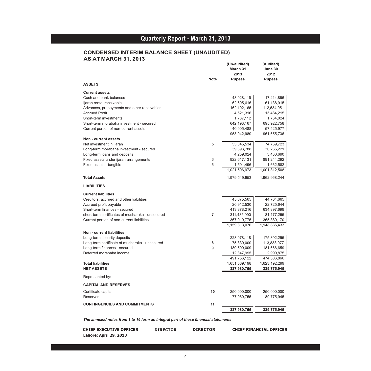#### **CONDENSED INTERIM BALANCE SHEET (UNAUDITED) AS AT MARCH 31, 2013**

| <b>Rupees</b><br><b>Rupees</b><br><b>ASSETS</b><br><b>Current assets</b><br>43,928,116<br>Cash and bank balances<br>17,414,896<br>ljarah rental receivable<br>62,605,616<br>162, 102, 165<br>112,534,951<br>Advances, prepayments and other receivables<br><b>Accrued Profit</b><br>4,521,316<br>15,484,215<br>Short-term investments<br>1,787,112<br>1,734,024<br>Short-term morabaha investment - secured<br>642,193,167<br>695,922,758<br>Current portion of non-current assets<br>40,905,488<br>57,425,977<br>958,042,980<br>961,655,736<br>Non - current assets<br>Net investment in ijarah<br>5<br>53,345,534<br>74,739,723<br>Long-term morabaha investment - secured<br>39,693,788<br>30,235,221<br>Long-term loans and deposits<br>4,259,024<br>3,430,690<br>Fixed assets under ijarah arrangements<br>6<br>922,617,131<br>891,244,292<br>6<br>Fixed assets - tangible<br>1,591,496<br>1,021,506,973<br>1,001,312,508<br><b>Total Assets</b><br>1,979,549,953<br><b>LIABILITIES</b><br><b>Current liabilities</b><br>Creditors, accrued and other liabilities<br>45,675,565<br>44,704,665<br>Accrued profit payable<br>20,912,530<br>22,725,644<br>413,878,216<br>Short-term finances - secured<br>634,897,699<br>short-term certificates of musharaka - unsecured<br>$\overline{7}$<br>311,435,990<br>81, 177, 255<br>Current portion of non-current liabilities<br>367,910,775<br>1,159,813,076<br>1,148,885,433<br><b>Non - current liabilities</b><br>Long-term security deposits<br>223,078,118<br>Long-term certificate of musharaka - unsecured<br>75,830,000<br>113,838,077<br>8<br>Long-term finances - secured<br>9<br>180,500,009<br>181,666,659<br>Deferred morahaba income<br>12,347,995<br>491,756,122<br>474,306,866<br>1,651,569,198<br>1,623,192,299<br><b>Total liabilities</b><br><b>NET ASSETS</b><br>327,980,755<br>339,775,945<br>Represented by:<br><b>CAPITAL AND RESERVES</b><br>Certificate capital<br>10<br>250,000,000<br>250,000,000<br>Reserves<br>77,980,755<br>89,775,945<br><b>CONTINGENCIES AND COMMITMENTS</b><br>11 | <b>Note</b> | (Un-audited)<br>March 31<br>2013 | (Audited)<br>June 30<br>2012 |
|------------------------------------------------------------------------------------------------------------------------------------------------------------------------------------------------------------------------------------------------------------------------------------------------------------------------------------------------------------------------------------------------------------------------------------------------------------------------------------------------------------------------------------------------------------------------------------------------------------------------------------------------------------------------------------------------------------------------------------------------------------------------------------------------------------------------------------------------------------------------------------------------------------------------------------------------------------------------------------------------------------------------------------------------------------------------------------------------------------------------------------------------------------------------------------------------------------------------------------------------------------------------------------------------------------------------------------------------------------------------------------------------------------------------------------------------------------------------------------------------------------------------------------------------------------------------------------------------------------------------------------------------------------------------------------------------------------------------------------------------------------------------------------------------------------------------------------------------------------------------------------------------------------------------------------------------------------------------------------------------------------------------------------------------------------------|-------------|----------------------------------|------------------------------|
|                                                                                                                                                                                                                                                                                                                                                                                                                                                                                                                                                                                                                                                                                                                                                                                                                                                                                                                                                                                                                                                                                                                                                                                                                                                                                                                                                                                                                                                                                                                                                                                                                                                                                                                                                                                                                                                                                                                                                                                                                                                                  |             |                                  |                              |
|                                                                                                                                                                                                                                                                                                                                                                                                                                                                                                                                                                                                                                                                                                                                                                                                                                                                                                                                                                                                                                                                                                                                                                                                                                                                                                                                                                                                                                                                                                                                                                                                                                                                                                                                                                                                                                                                                                                                                                                                                                                                  |             |                                  |                              |
|                                                                                                                                                                                                                                                                                                                                                                                                                                                                                                                                                                                                                                                                                                                                                                                                                                                                                                                                                                                                                                                                                                                                                                                                                                                                                                                                                                                                                                                                                                                                                                                                                                                                                                                                                                                                                                                                                                                                                                                                                                                                  |             |                                  |                              |
|                                                                                                                                                                                                                                                                                                                                                                                                                                                                                                                                                                                                                                                                                                                                                                                                                                                                                                                                                                                                                                                                                                                                                                                                                                                                                                                                                                                                                                                                                                                                                                                                                                                                                                                                                                                                                                                                                                                                                                                                                                                                  |             |                                  | 61,138,915                   |
|                                                                                                                                                                                                                                                                                                                                                                                                                                                                                                                                                                                                                                                                                                                                                                                                                                                                                                                                                                                                                                                                                                                                                                                                                                                                                                                                                                                                                                                                                                                                                                                                                                                                                                                                                                                                                                                                                                                                                                                                                                                                  |             |                                  |                              |
|                                                                                                                                                                                                                                                                                                                                                                                                                                                                                                                                                                                                                                                                                                                                                                                                                                                                                                                                                                                                                                                                                                                                                                                                                                                                                                                                                                                                                                                                                                                                                                                                                                                                                                                                                                                                                                                                                                                                                                                                                                                                  |             |                                  |                              |
|                                                                                                                                                                                                                                                                                                                                                                                                                                                                                                                                                                                                                                                                                                                                                                                                                                                                                                                                                                                                                                                                                                                                                                                                                                                                                                                                                                                                                                                                                                                                                                                                                                                                                                                                                                                                                                                                                                                                                                                                                                                                  |             |                                  |                              |
|                                                                                                                                                                                                                                                                                                                                                                                                                                                                                                                                                                                                                                                                                                                                                                                                                                                                                                                                                                                                                                                                                                                                                                                                                                                                                                                                                                                                                                                                                                                                                                                                                                                                                                                                                                                                                                                                                                                                                                                                                                                                  |             |                                  |                              |
|                                                                                                                                                                                                                                                                                                                                                                                                                                                                                                                                                                                                                                                                                                                                                                                                                                                                                                                                                                                                                                                                                                                                                                                                                                                                                                                                                                                                                                                                                                                                                                                                                                                                                                                                                                                                                                                                                                                                                                                                                                                                  |             |                                  |                              |
|                                                                                                                                                                                                                                                                                                                                                                                                                                                                                                                                                                                                                                                                                                                                                                                                                                                                                                                                                                                                                                                                                                                                                                                                                                                                                                                                                                                                                                                                                                                                                                                                                                                                                                                                                                                                                                                                                                                                                                                                                                                                  |             |                                  |                              |
|                                                                                                                                                                                                                                                                                                                                                                                                                                                                                                                                                                                                                                                                                                                                                                                                                                                                                                                                                                                                                                                                                                                                                                                                                                                                                                                                                                                                                                                                                                                                                                                                                                                                                                                                                                                                                                                                                                                                                                                                                                                                  |             |                                  |                              |
|                                                                                                                                                                                                                                                                                                                                                                                                                                                                                                                                                                                                                                                                                                                                                                                                                                                                                                                                                                                                                                                                                                                                                                                                                                                                                                                                                                                                                                                                                                                                                                                                                                                                                                                                                                                                                                                                                                                                                                                                                                                                  |             |                                  |                              |
|                                                                                                                                                                                                                                                                                                                                                                                                                                                                                                                                                                                                                                                                                                                                                                                                                                                                                                                                                                                                                                                                                                                                                                                                                                                                                                                                                                                                                                                                                                                                                                                                                                                                                                                                                                                                                                                                                                                                                                                                                                                                  |             |                                  |                              |
|                                                                                                                                                                                                                                                                                                                                                                                                                                                                                                                                                                                                                                                                                                                                                                                                                                                                                                                                                                                                                                                                                                                                                                                                                                                                                                                                                                                                                                                                                                                                                                                                                                                                                                                                                                                                                                                                                                                                                                                                                                                                  |             |                                  |                              |
|                                                                                                                                                                                                                                                                                                                                                                                                                                                                                                                                                                                                                                                                                                                                                                                                                                                                                                                                                                                                                                                                                                                                                                                                                                                                                                                                                                                                                                                                                                                                                                                                                                                                                                                                                                                                                                                                                                                                                                                                                                                                  |             |                                  | 1,662,582                    |
|                                                                                                                                                                                                                                                                                                                                                                                                                                                                                                                                                                                                                                                                                                                                                                                                                                                                                                                                                                                                                                                                                                                                                                                                                                                                                                                                                                                                                                                                                                                                                                                                                                                                                                                                                                                                                                                                                                                                                                                                                                                                  |             |                                  |                              |
|                                                                                                                                                                                                                                                                                                                                                                                                                                                                                                                                                                                                                                                                                                                                                                                                                                                                                                                                                                                                                                                                                                                                                                                                                                                                                                                                                                                                                                                                                                                                                                                                                                                                                                                                                                                                                                                                                                                                                                                                                                                                  |             |                                  | 1,962,968,244                |
|                                                                                                                                                                                                                                                                                                                                                                                                                                                                                                                                                                                                                                                                                                                                                                                                                                                                                                                                                                                                                                                                                                                                                                                                                                                                                                                                                                                                                                                                                                                                                                                                                                                                                                                                                                                                                                                                                                                                                                                                                                                                  |             |                                  |                              |
|                                                                                                                                                                                                                                                                                                                                                                                                                                                                                                                                                                                                                                                                                                                                                                                                                                                                                                                                                                                                                                                                                                                                                                                                                                                                                                                                                                                                                                                                                                                                                                                                                                                                                                                                                                                                                                                                                                                                                                                                                                                                  |             |                                  |                              |
|                                                                                                                                                                                                                                                                                                                                                                                                                                                                                                                                                                                                                                                                                                                                                                                                                                                                                                                                                                                                                                                                                                                                                                                                                                                                                                                                                                                                                                                                                                                                                                                                                                                                                                                                                                                                                                                                                                                                                                                                                                                                  |             |                                  |                              |
|                                                                                                                                                                                                                                                                                                                                                                                                                                                                                                                                                                                                                                                                                                                                                                                                                                                                                                                                                                                                                                                                                                                                                                                                                                                                                                                                                                                                                                                                                                                                                                                                                                                                                                                                                                                                                                                                                                                                                                                                                                                                  |             |                                  |                              |
|                                                                                                                                                                                                                                                                                                                                                                                                                                                                                                                                                                                                                                                                                                                                                                                                                                                                                                                                                                                                                                                                                                                                                                                                                                                                                                                                                                                                                                                                                                                                                                                                                                                                                                                                                                                                                                                                                                                                                                                                                                                                  |             |                                  |                              |
|                                                                                                                                                                                                                                                                                                                                                                                                                                                                                                                                                                                                                                                                                                                                                                                                                                                                                                                                                                                                                                                                                                                                                                                                                                                                                                                                                                                                                                                                                                                                                                                                                                                                                                                                                                                                                                                                                                                                                                                                                                                                  |             |                                  |                              |
|                                                                                                                                                                                                                                                                                                                                                                                                                                                                                                                                                                                                                                                                                                                                                                                                                                                                                                                                                                                                                                                                                                                                                                                                                                                                                                                                                                                                                                                                                                                                                                                                                                                                                                                                                                                                                                                                                                                                                                                                                                                                  |             |                                  | 365,380,170                  |
|                                                                                                                                                                                                                                                                                                                                                                                                                                                                                                                                                                                                                                                                                                                                                                                                                                                                                                                                                                                                                                                                                                                                                                                                                                                                                                                                                                                                                                                                                                                                                                                                                                                                                                                                                                                                                                                                                                                                                                                                                                                                  |             |                                  |                              |
|                                                                                                                                                                                                                                                                                                                                                                                                                                                                                                                                                                                                                                                                                                                                                                                                                                                                                                                                                                                                                                                                                                                                                                                                                                                                                                                                                                                                                                                                                                                                                                                                                                                                                                                                                                                                                                                                                                                                                                                                                                                                  |             |                                  |                              |
|                                                                                                                                                                                                                                                                                                                                                                                                                                                                                                                                                                                                                                                                                                                                                                                                                                                                                                                                                                                                                                                                                                                                                                                                                                                                                                                                                                                                                                                                                                                                                                                                                                                                                                                                                                                                                                                                                                                                                                                                                                                                  |             |                                  | 175,802,255                  |
|                                                                                                                                                                                                                                                                                                                                                                                                                                                                                                                                                                                                                                                                                                                                                                                                                                                                                                                                                                                                                                                                                                                                                                                                                                                                                                                                                                                                                                                                                                                                                                                                                                                                                                                                                                                                                                                                                                                                                                                                                                                                  |             |                                  |                              |
|                                                                                                                                                                                                                                                                                                                                                                                                                                                                                                                                                                                                                                                                                                                                                                                                                                                                                                                                                                                                                                                                                                                                                                                                                                                                                                                                                                                                                                                                                                                                                                                                                                                                                                                                                                                                                                                                                                                                                                                                                                                                  |             |                                  |                              |
|                                                                                                                                                                                                                                                                                                                                                                                                                                                                                                                                                                                                                                                                                                                                                                                                                                                                                                                                                                                                                                                                                                                                                                                                                                                                                                                                                                                                                                                                                                                                                                                                                                                                                                                                                                                                                                                                                                                                                                                                                                                                  |             |                                  | 2,999,875                    |
|                                                                                                                                                                                                                                                                                                                                                                                                                                                                                                                                                                                                                                                                                                                                                                                                                                                                                                                                                                                                                                                                                                                                                                                                                                                                                                                                                                                                                                                                                                                                                                                                                                                                                                                                                                                                                                                                                                                                                                                                                                                                  |             |                                  |                              |
|                                                                                                                                                                                                                                                                                                                                                                                                                                                                                                                                                                                                                                                                                                                                                                                                                                                                                                                                                                                                                                                                                                                                                                                                                                                                                                                                                                                                                                                                                                                                                                                                                                                                                                                                                                                                                                                                                                                                                                                                                                                                  |             |                                  |                              |
|                                                                                                                                                                                                                                                                                                                                                                                                                                                                                                                                                                                                                                                                                                                                                                                                                                                                                                                                                                                                                                                                                                                                                                                                                                                                                                                                                                                                                                                                                                                                                                                                                                                                                                                                                                                                                                                                                                                                                                                                                                                                  |             |                                  |                              |
|                                                                                                                                                                                                                                                                                                                                                                                                                                                                                                                                                                                                                                                                                                                                                                                                                                                                                                                                                                                                                                                                                                                                                                                                                                                                                                                                                                                                                                                                                                                                                                                                                                                                                                                                                                                                                                                                                                                                                                                                                                                                  |             |                                  |                              |
|                                                                                                                                                                                                                                                                                                                                                                                                                                                                                                                                                                                                                                                                                                                                                                                                                                                                                                                                                                                                                                                                                                                                                                                                                                                                                                                                                                                                                                                                                                                                                                                                                                                                                                                                                                                                                                                                                                                                                                                                                                                                  |             |                                  |                              |
|                                                                                                                                                                                                                                                                                                                                                                                                                                                                                                                                                                                                                                                                                                                                                                                                                                                                                                                                                                                                                                                                                                                                                                                                                                                                                                                                                                                                                                                                                                                                                                                                                                                                                                                                                                                                                                                                                                                                                                                                                                                                  |             |                                  |                              |
|                                                                                                                                                                                                                                                                                                                                                                                                                                                                                                                                                                                                                                                                                                                                                                                                                                                                                                                                                                                                                                                                                                                                                                                                                                                                                                                                                                                                                                                                                                                                                                                                                                                                                                                                                                                                                                                                                                                                                                                                                                                                  |             |                                  |                              |
|                                                                                                                                                                                                                                                                                                                                                                                                                                                                                                                                                                                                                                                                                                                                                                                                                                                                                                                                                                                                                                                                                                                                                                                                                                                                                                                                                                                                                                                                                                                                                                                                                                                                                                                                                                                                                                                                                                                                                                                                                                                                  |             |                                  |                              |
|                                                                                                                                                                                                                                                                                                                                                                                                                                                                                                                                                                                                                                                                                                                                                                                                                                                                                                                                                                                                                                                                                                                                                                                                                                                                                                                                                                                                                                                                                                                                                                                                                                                                                                                                                                                                                                                                                                                                                                                                                                                                  |             | 327,980,755                      | 339,775,945                  |

*The annexed notes from 1 to 16 form an integral part of these financial statements*

**CHIEF EXECUTIVE OFFICER DIRECTOR DIRECTOR CHIEF FINANCIAL OFFICER Lahore: April 29, 2013**

**DIRECTOR** 

l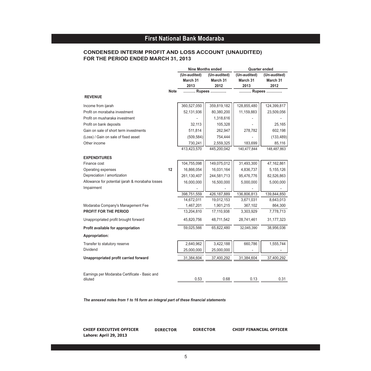#### **FOR THE PERIOD ENDED MARCH 31, 2013 CONDENSED INTERIM PROFIT AND LOSS ACCOUNT (UNAUDITED)**

|                                                          |             | <b>Nine Months ended</b>         |                                  |                                  | <b>Quarter ended</b>             |  |  |
|----------------------------------------------------------|-------------|----------------------------------|----------------------------------|----------------------------------|----------------------------------|--|--|
|                                                          |             | (Un-audited)<br>March 31<br>2013 | (Un-audited)<br>March 31<br>2012 | (Un-audited)<br>March 31<br>2013 | (Un-audited)<br>March 31<br>2012 |  |  |
|                                                          | <b>Note</b> | Rupees                           |                                  |                                  | Rupees                           |  |  |
| <b>REVENUE</b>                                           |             |                                  |                                  |                                  |                                  |  |  |
| Income from ijarah                                       |             | 360,527,050                      | 359,819,182                      | 128,855,480                      | 124,399,817                      |  |  |
| Profit on morabaha investment                            |             | 52,131,936                       | 80,380,200                       | 11,159,883                       | 23,509,056                       |  |  |
| Profit on musharaka investment                           |             |                                  | 1,318,616                        |                                  |                                  |  |  |
| Profit on bank deposits                                  |             | 32,113                           | 105,328                          |                                  | 25,165                           |  |  |
| Gain on sale of short term investments                   |             | 511,814                          | 262,947                          | 278,782                          | 602,198                          |  |  |
| (Loss) / Gain on sale of fixed asset                     |             | (509, 584)                       | 754,444                          |                                  | (133, 489)                       |  |  |
| Other income                                             |             | 730,241                          | 2,559,325                        | 183,699                          | 85,116                           |  |  |
|                                                          |             | 413,423,570                      | 445,200,042                      | 140,477,844                      | 148,487,863                      |  |  |
| <b>EXPENDITURES</b>                                      |             |                                  |                                  |                                  |                                  |  |  |
| Finance cost                                             |             | 104,755,098                      | 149,075,012                      | 31,493,300                       | 47,162,861                       |  |  |
| Operating expenses                                       | 12          | 16,866,054                       | 16,031,164                       | 4,836,737                        | 5, 155, 126                      |  |  |
| Depreciation / amortization                              |             | 261,130,407                      | 244,581,713                      | 95,476,776                       | 82,526,863                       |  |  |
| Allowance for potential ijarah & morabaha losses         |             | 16,000,000                       | 16,500,000                       | 5,000,000                        | 5,000,000                        |  |  |
| Impairment                                               |             |                                  |                                  |                                  |                                  |  |  |
|                                                          |             | 398,751,559                      | 426, 187, 889                    | 136,806,813                      | 139,844,850                      |  |  |
|                                                          |             | 14,672,011                       | 19,012,153                       | 3,671,031                        | 8,643,013                        |  |  |
| Modaraba Company's Management Fee                        |             | 1,467,201                        | 1,901,215                        | 367,102                          | 864,300                          |  |  |
| PROFIT FOR THE PERIOD                                    |             | 13,204,810                       | 17,110,938                       | 3,303,929                        | 7,778,713                        |  |  |
| Unappropriated profit brought forward                    |             | 45,820,756                       | 48,711,542                       | 28,741,461                       | 31, 177, 323                     |  |  |
| Profit available for appropriation                       |             | 59,025,566                       | 65,822,480                       | 32,045,390                       | 38,956,036                       |  |  |
| Appropriation:                                           |             |                                  |                                  |                                  |                                  |  |  |
| Transfer to statutory reserve                            |             | 2,640,962                        | 3,422,188                        | 660,786                          | 1,555,744                        |  |  |
| Dividend                                                 |             | 25,000,000                       | 25,000,000                       |                                  |                                  |  |  |
| Unappropriated profit carried forward                    |             | 31,384,604                       | 37,400,292                       | 31,384,604                       | 37,400,292                       |  |  |
|                                                          |             |                                  |                                  |                                  |                                  |  |  |
| Earnings per Modaraba Certificate - Basic and<br>diluted |             | 0.53                             | 0.68                             | 0.13                             | 0.31                             |  |  |
|                                                          |             |                                  |                                  |                                  |                                  |  |  |

*The annexed notes from 1 to 16 form an integral part of these financial statements*

**CHIEF EXECUTIVE OFFICER DIRECTOR DIRECTOR CHIEF FINANCIAL OFFICER Lahore: April 29, 2013**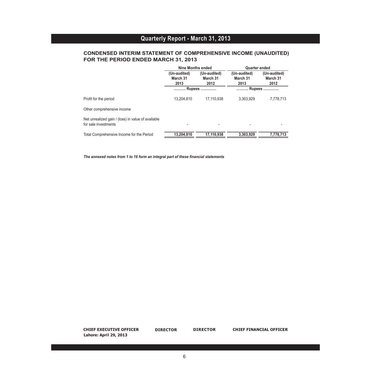#### **CONDENSED INTERIM STATEMENT OF COMPREHENSIVE INCOME (UNAUDITED) FOR THE PERIOD ENDED MARCH 31, 2013**

|                                                                            | <b>Nine Months ended</b>         |                                  | <b>Quarter ended</b>             |                                  |
|----------------------------------------------------------------------------|----------------------------------|----------------------------------|----------------------------------|----------------------------------|
|                                                                            | (Un-audited)<br>March 31<br>2013 | (Un-audited)<br>March 31<br>2012 | (Un-audited)<br>March 31<br>2013 | (Un-audited)<br>March 31<br>2012 |
|                                                                            |                                  | <b>Rupees </b>                   |                                  | Rupees                           |
| Profit for the period                                                      | 13,204,810                       | 17.110.938                       | 3.303.929                        | 7,778,713                        |
| Other comprehensive income                                                 |                                  |                                  |                                  |                                  |
| Net unrealized gain / (loss) in value of available<br>for sale investments |                                  |                                  |                                  |                                  |
| Total Comprehensive Income for the Period                                  | 13,204,810                       | 17.110.938                       | 3.303.929                        | 7.778.713                        |

*The annexed notes from 1 to 16 form an integral part of these financial statements*

**CHIEF EXECUTIVE OFFICER Lahore: April 29, 2013 DIRECTOR DIRECTOR DIRECTOR CHIEF FINANCIAL OFFICER**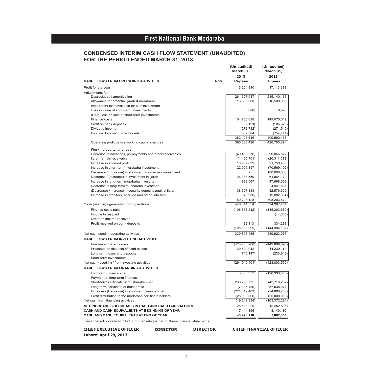#### **CONDENSED INTERIM CASH FLOW STATEMENT (UNAUDITED) FOR THE PERIOD ENDED MARCH 31, 2013**

|                                                                                    |             | (Un-audited)<br>March 31,<br>2013 | (Un-audited)<br>March 31,<br>2012 |
|------------------------------------------------------------------------------------|-------------|-----------------------------------|-----------------------------------|
| <b>CASH FLOWS FROM OPERATING ACTIVITIES</b>                                        | <b>Note</b> | <b>Rupees</b>                     | <b>Rupees</b>                     |
|                                                                                    |             |                                   |                                   |
| Profit for the year                                                                |             | 13,204,810                        | 17,110,938                        |
| Adjustments for:                                                                   |             | 261,527,917                       | 245, 140, 163                     |
| Depreciation / amortization<br>Allowance for potential ijarah & morabaha           |             | 16,000,000                        | 16,500,000                        |
| Impairment loss-available for sale investment                                      |             |                                   |                                   |
| Loss in value of short-term investments                                            |             | (53,088)                          | 8,598                             |
| (Gain)/loss on sale of short-term investments                                      |             |                                   |                                   |
| Finance costs                                                                      |             | 104,755,098                       | 149,075,012                       |
| Profit on bank deposits                                                            |             | (32, 113)                         | (105, 328)                        |
| Dividend income                                                                    |             | (278, 782)                        | (271, 545)                        |
| Gain on disposal of fixed assets                                                   |             | 509,584                           | (754, 444)                        |
|                                                                                    |             | 382,428,616                       | 409,592,456                       |
| Operating profit before working capital changes                                    |             | 395,633,426                       | 426,703,394                       |
| <b>Working capital changes</b>                                                     |             |                                   |                                   |
| Decrease in advances, prepayments and other receivables                            |             | (49, 468, 376)                    | 90,065,822                        |
| ljarah rentals receivable                                                          |             | (1,466,701)                       | (20, 311, 513)                    |
| Increase in accrued profit                                                         |             | 10,962,899                        | 21,750,488                        |
| Increase in short-term morabaha investment                                         |             | 22,005,897                        | (70, 569, 192)                    |
| Decrease / (Increase) in short-term musharaka investment                           |             |                                   | 100,000,000                       |
| Decrease / (increase) in investment in ijarah                                      |             | 26,388,559                        | 61,964,170                        |
| Increase in long-term morabaha investment                                          |             | 4,929,567                         | 47,668,056                        |
| Decrease in long-term musharaka investment                                         |             |                                   | 4,941,801                         |
| (Decrease) / increase in security deposits against ijarah                          |             | 38,327,183                        | 82,576,602                        |
| Increase in creditors, accrued and other liabilities                               |             | (970, 900)                        | (9,882,364)                       |
|                                                                                    |             | 50,708,128                        | 308,203,870                       |
| Cash (used in) / generated from operations                                         |             | 446,341,554                       | 734,907,264                       |
| Finance costs paid                                                                 |             | (106, 568, 212)                   | (145, 303, 680)                   |
| Income taxes paid                                                                  |             |                                   | (14, 805)                         |
| Dividend income received                                                           |             |                                   |                                   |
| Profit received on bank deposits                                                   |             | 32,113                            | 334,288                           |
|                                                                                    |             | (106, 536, 099)                   | (144, 984, 197)                   |
| Net cash used in operating activities                                              |             | 339,805,455                       | 589,923,067                       |
|                                                                                    |             |                                   |                                   |
| <b>CASH FLOWS FROM INVESTING ACTIVITIES</b>                                        |             |                                   |                                   |
| Purchase of fixed assets                                                           |             | (423, 233, 266)                   | (442, 809, 090)                   |
| Proceeds on disposal of fixed assets                                               |             | 129,894,012                       | 14,239,111                        |
| Long-term loans and deposits                                                       |             | (710, 147)                        | (233, 613)                        |
| Short-term investments                                                             |             |                                   |                                   |
| Net cash (used in) / from investing activities                                     |             | (294, 049, 401)                   | (428, 803, 592)                   |
| <b>CASH FLOWS FROM FINANCING ACTIVITIES</b>                                        |             |                                   |                                   |
| Long-term finance - net                                                            |             | 3,833,353                         | (128, 333, 336)                   |
| Payment of long-term finances                                                      |             |                                   |                                   |
| Short-term certificate of musharaka - net                                          |             | 230,258,735                       | (42, 716, 287)                    |
| Long-term certificate of musharaka                                                 |             | (7,315,439)                       | 57,538,077                        |
| Increase / (Decrease) in short-term finance - net                                  |             | (221, 019, 483)                   | (24, 860, 735)                    |
| Profit distribution to the modaraba certificate holders                            |             | (25,000,000)                      | (25,000,000)                      |
| Net cash from financing activities                                                 |             | (19, 242, 834)                    | (163, 372, 281)                   |
| NET INCREASE / (DECREASE) IN CASH AND CASH EQUIVALENTS                             |             | 26,513,220                        | (2, 252, 806)                     |
| CASH AND CASH EQUIVALENTS AT BEGINNING OF YEAR                                     |             | 17,414,896                        | 8,140,110                         |
| CASH AND CASH EQUIVALENTS AT END OF YEAR                                           |             | 43,928,116                        | 5,887,304                         |
| The annexed notes from 1 to 16 form an integral part of these financial statements |             |                                   |                                   |

**CHIEF EXECUTIVE OFFICER Lahore: April 29, 2013**

**DIRECTOR** 

**DIRECTOR DIRECTOR CHIEF FINANCIAL OFFICER**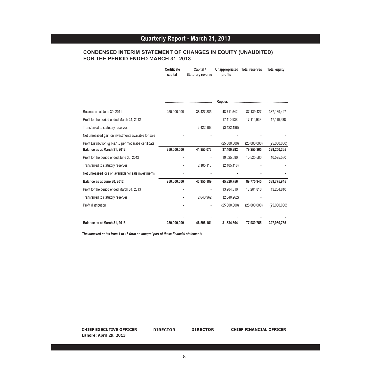**Capital / Statutory reverse**

**Unappropriated Total reserves Total equity**

**profits**

#### **CONDENSED INTERIM STATEMENT OF CHANGES IN EQUITY (UNAUDITED) FOR THE PERIOD ENDED MARCH 31, 2013**

**Certificate capital**

|                                                       |             |            | <b>Rupees</b> |              |              |
|-------------------------------------------------------|-------------|------------|---------------|--------------|--------------|
| Balance as at June 30, 2011                           | 250,000,000 | 38,427,885 | 48,711,542    | 87,139,427   | 337,139,427  |
| Profit for the period ended March 31, 2012            |             |            | 17,110,938    | 17,110,938   | 17,110,938   |
| Transferred to statutory reserves                     |             | 3,422,188  | (3,422,188)   |              |              |
| Net unrealized gain on investments available for sale |             |            |               |              |              |
| Profit Distribution @ Re.1.0 per modaraba certificate |             |            | (25,000,000)  | (25,000,000) | (25,000,000) |
| Balance as at March 31, 2012                          | 250,000,000 | 41,850,073 | 37,400,292    | 79,250,365   | 329,250,365  |
| Profit for the period ended June 30, 2012             |             |            | 10,525,580    | 10,525,580   | 10,525,580   |
| Transferred to statutory reserves                     |             | 2,105,116  | (2, 105, 116) |              |              |
| Net unrealised loss on available for sale investments |             |            |               |              |              |
| Balance as at June 30, 2012                           | 250,000,000 | 43,955,189 | 45,820,756    | 89,775,945   | 339,775,945  |
| Profit for the period ended March 31, 2013            |             |            | 13,204,810    | 13,204,810   | 13,204,810   |
| Transferred to statutory reserves                     |             | 2,640,962  | (2,640,962)   |              |              |
| Profit distribution                                   |             |            | (25,000,000)  | (25,000,000) | (25,000,000) |
|                                                       |             |            |               |              |              |
| Balance as at March 31, 2013                          | 250.000.000 | 46,596,151 | 31,384,604    | 77,980,755   | 327.980.755  |

*The annexed notes from 1 to 16 form an integral part of these financial statements*

**CHIEF EXECUTIVE OFFICER DIRECTOR DIRECTOR CHIEF FINANCIAL OFFICER Lahore: April 29, 2013**

**DIRECTOR**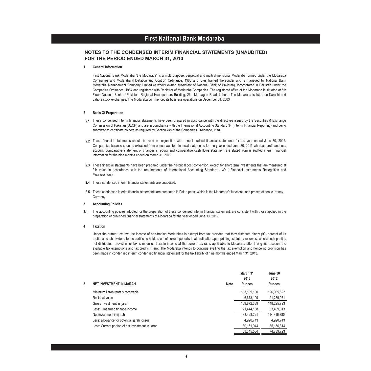#### **First National Bank Modaraba First National Bank Modaraba**

#### **NOTES TO THE CONDENSED INTERIM FINANCIAL STATEMENTS (UNAUDITED) FOR THE PERIOD ENDED MARCH 31, 2013**

#### **1 General Information**

First National Bank Modaraba "the Modaraba" is a multi purpose, perpetual and multi dimensional Modaraba formed under the Modaraba Companies and Modaraba (Floatation and Control) Ordinance, 1980 and rules framed thereunder and is managed by National Bank Modaraba Management Company Limited (a wholly owned subsidiary of National Bank of Pakistan), incorporated in Pakistan under the Companies Ordinance, 1984 and registered with Registrar of Modaraba Companies. The registered office of the Modaraba is situated at 5th Floor, National Bank of Pakistan, Regional Headquarters Building, 26 - Mc Lagon Road, Lahore. The Modaraba is listed on Karachi and Lahore stock exchanges. The Modaraba commenced its business operations on December 04, 2003.

#### **2 Basis Of Preparation**

- **2.1** These condensed interim financial statements have been prepared in accordance with the directives issued by the Securities & Exchange Commission of Pakistan (SECP) and are in compliance with the International Accounting Standard 34 (Interim Financial Reporting) and being submitted to certificate holders as required by Section 245 of the Companies Ordinance, 1984.
- **2.2** These financial statements should be read in conjunction with annual audited financial statements for the year ended June 30, 2012. Comparative balance sheet is extracted from annual audited financial statements for the year ended June 30, 2011 whereas profit and loss account, comparative statement of changes in equity and comparative cash flows statement are stated from unaudited interim financial information for the nine months ended on March 31, 2012.
- **2.3** These financial statements have been prepared under the historical cost convention, except for short term investments that are measured at fair value in accordance with the requirements of International Accounting Standard - 39 ( Financial Instruments Recognition and Measurement).
- **2.4** These condensed interim financial statements are unaudited.
- **2.5** These condensed interim financial statements are presented in Pak rupees, Which is the Modaraba's functional and presentational currency.**Currency**
- **3 Accounting Policies**
- **3.1** The accounting policies adopted for the preparation of these condensed interim financial statement, are consistent with those applied in the preparation of published financial statements of Modaraba for the year ended June 30, 2012.

#### **4 Taxation**

Under the current tax law, the income of non-trading Modarabas is exempt from tax provided that they distribute ninety (90) percent of its profits as cash dividend to the certificate holders out of current period's total profit after appropriating statutory reserves. Where such profit is not distributed, provision for tax is made on taxable income at the current tax rates applicable to Modaraba after taking into account the available tax exemptions and tax credits, if any. The Modaraba intends to continue availing the tax exemption and hence no provision has been made in condensed interim condensed financial statement for the tax liability of nine months ended March 31, 2013.

|   |                                                   |             | March 31<br>2013 | June 30<br>2012 |
|---|---------------------------------------------------|-------------|------------------|-----------------|
| 5 | <b>NET INVESTMENT IN IJARAH</b>                   | <b>Note</b> | <b>Rupees</b>    | <b>Rupees</b>   |
|   | Minimum ijarah rentals receivable                 |             | 103,199,190      | 126,965,822     |
|   | Residual value                                    |             | 6,673,199        | 21,259,971      |
|   | Gross investment in ijarah                        |             | 109,872,389      | 148,225,793     |
|   | Less: Unearned finance income                     |             | 21,444,168       | 33,409,013      |
|   | Net investment in ijarah                          |             | 88.428.221       | 114,816,780     |
|   | Less: allowance for potential ijarah losses       |             | 4,920,743        | 4,920,743       |
|   | Less: Current portion of net investment in ijarah |             | 30.161.944       | 35, 156, 314    |
|   |                                                   |             | 53.345.534       | 74.739.723      |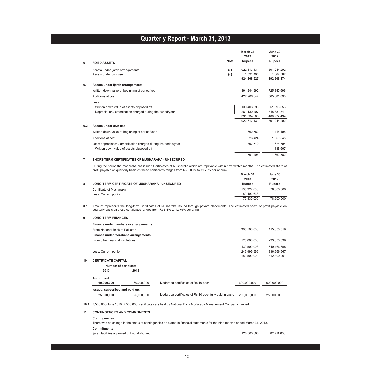|     |                                                                  |             | March 31<br>2013 | June 30<br>2012 |
|-----|------------------------------------------------------------------|-------------|------------------|-----------------|
| 6   | <b>FIXED ASSETS</b>                                              | <b>Note</b> | <b>Rupees</b>    | <b>Rupees</b>   |
|     | Assets under ljarah arrangements                                 | 6.1         | 922,617,131      | 891,244,292     |
|     | Assets under own use                                             | 6.2         | 1,591,496        | 1,662,582       |
|     |                                                                  |             | 924,208,627      | 892,906,874     |
| 6.1 | Assets under ljarah arrangements                                 |             |                  |                 |
|     | Written down value-at beginning of period/year                   |             | 891,244,292      | 725,840,696     |
|     | Additions at cost                                                |             | 422.906.842      | 565,681,090     |
|     | Less:                                                            |             |                  |                 |
|     | Written down value of assets disposed off                        |             | 130,403,596      | 51,895,653      |
|     | Depreciation / amortization charged during the period/year       |             | 261,130,407      | 348,381,841     |
|     |                                                                  |             | 391,534,003      | 400,277,494     |
|     |                                                                  |             | 922,617,131      | 891,244,292     |
| 6.2 | Assets under own use                                             |             |                  |                 |
|     | Written down value-at beginning of period/year                   |             | 1,662,582        | 1,416,498       |
|     | Additions at cost                                                |             | 326,424          | 1,059,545       |
|     | Less: depreciation / amortization charged during the period/year |             | 397,510          | 674,794         |
|     | Written down value of assets disposed off                        |             |                  | 138,667         |
|     |                                                                  |             | 1,591,496        | 1,662,582       |

#### **7 SHORT-TERM CERTIFICATES OF MUSHARAKA - UNSECURED**

**March 31 June 30** During the period the modaraba has issued Certificates of Musharaka which are repayable within next twelve months. The estimated share of profit payable on quarterly basis on these certificates ranges from Rs 9.00% to 11.75% per annum.

|                                                       | March 31      | June 30       |
|-------------------------------------------------------|---------------|---------------|
|                                                       | 2013          | 2012          |
| <b>LONG-TERM CERTIFICATE OF MUSHARAKA - UNSECURED</b> | <b>Rupees</b> | <b>Rupees</b> |
| Certificate of Musharaka                              | 135.322.638   | 78,600,000    |
| Less: Current portion                                 | 59.492.638    | -             |
|                                                       | 75.830.000    | 78,600,000    |

**8.1** Amount represents the long-term Certificates of Musharaka issued through private placements. The estimated share of profit payable on quarterly basis on these certificates ranges from Rs 8.4% to 12.75% per annum.

#### **9 LONG-TERM FINANCES**

|    |                                   | Finance under musharaka arrangements |                                                         |             |             |
|----|-----------------------------------|--------------------------------------|---------------------------------------------------------|-------------|-------------|
|    | From National Bank of Pakistan    |                                      |                                                         | 305.500.000 | 415.833.319 |
|    |                                   | Finance under morabaha arrangements  |                                                         |             |             |
|    | From other financial institutions |                                      |                                                         | 125.000.008 | 233,333,339 |
|    |                                   |                                      |                                                         | 430,500,008 | 649,166,658 |
|    | Less: Current portion             |                                      |                                                         | 249,999,999 | 336,666,667 |
|    |                                   |                                      |                                                         | 180,500,009 | 312,499,991 |
| 10 | <b>CERTIFICATE CAPITAL</b>        |                                      |                                                         |             |             |
|    | Number of certificate             |                                      |                                                         |             |             |
|    | 2013                              | 2012                                 |                                                         |             |             |
|    | Authorized:                       |                                      |                                                         |             |             |
|    | 60,000,000                        | 60,000,000                           | Modaraba certificates of Rs. 10 each.                   | 600.000.000 | 600.000.000 |
|    | Issued, subscribed and paid up:   |                                      |                                                         |             |             |
|    | 25,000,000                        | 25.000.000                           | Modaraba certificates of Rs.10 each fully paid in cash. | 250.000.000 | 250.000.000 |
|    |                                   |                                      |                                                         |             |             |

**10.1** 7,500,000(June 2010: 7,500,000) certificates are held by National Bank Modaraba Management Company Limited.

#### **11 CONTINGENCIES AND COMMITMENTS**

#### **Contingencies** There was no change in the status of contingencies as stated in financial statements for the nine months ended March 31, 2013. **Commitments** Ijarah facilities approved but not disbursed 128,000,000 82,711,000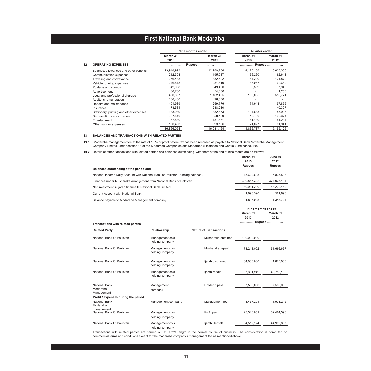|    |                                         | Nine months ended |            | Quarter ended |           |
|----|-----------------------------------------|-------------------|------------|---------------|-----------|
|    |                                         | March 31          | March 31   | March 31      | March 31  |
|    |                                         | 2013              | 2012       | 2013          | 2012      |
| 12 | <b>OPERATING EXPENSES</b>               |                   | Rupees     |               | Rupees    |
|    | Salaries, allowances and other benefits | 13,948,993        | 12,289,234 | 4,120,158     | 3,808,388 |
|    | Communication expenses                  | 212,398           | 195,037    | 66,260        | 62,641    |
|    | Traveling and conveyance                | 256,488           | 332,502    | 64,220        | 124,870   |
|    | Vehicle running expenses                | 246.818           | 231.610    | 86.967        | 62.649    |
|    | Postage and stamps                      | 42.068            | 49.400     | 5.569         | 7.940     |
|    | Advertisement                           | 66.780            | 54.630     |               | 1.250     |
|    | Legal and professional charges          | 430,697           | 1,162,465  | 189.085       | 550,771   |
|    | Auditor's remuneration                  | 106.480           | 96.800     | ٠             | ۰         |
|    | Repairs and maintenance                 | 401,989           | 259.776    | 74,948        | 97,855    |
|    | Insurance                               | 73,581            | 238,210    |               | 40,307    |
|    | Stationery, printing and other expenses | 383,939           | 332,453    | 104,833       | 85,906    |
|    | Depreciation / amortization             | 397,510           | 558,450    | 42,480        | 196,374   |
|    | Entertainment                           | 167,880           | 137,461    | 61,140        | 54,234    |
|    | Other sundry expenses                   | 130,433           | 93,136     | 21,077        | 61,941    |
|    |                                         | 16,866,054        | 16,031,164 | 4.836.737     | 5,155,126 |

#### **13 BALANCES AND TRANSACTIONS WITH RELATED PARTIES**

**13.1** Modaraba management fee at the rate of 10 % of profit before tax has been recorded as payable to National Bank Modaraba Management Company Limited, under section 18 of the Modaraba Companies and Modaraba (Floatation and Control) Ordinance, 1980.

**13.2** Details of other transactions with related parties and balances outstanding with them at the end of nine month are as follows:

|                                                                                | 2013              | 2012          |
|--------------------------------------------------------------------------------|-------------------|---------------|
| Balances outstanding at the period end                                         | <b>Rupees</b>     | <b>Rupees</b> |
| National Income Daily Account with National Bank of Pakistan (running balance) | 15.629.605        | 15.835.593    |
| Finances under Musharaka arrangement from National Bank of Pakistan            | 390.865.322       | 374.078.414   |
| Net investment in Ijarah finance to National Bank Limited                      | 49.931.200        | 53.292.449    |
| Current Account with National Bank                                             | 1.098.590         | 581.698       |
| Balance pavable to Modaraba Management company                                 | 1.815.925         | 1.348.724     |
|                                                                                | Nine months ended |               |

**March 31 June 30**

**March 31 March 31**

|                                         |                                          |                                    |                               | 2013        | 2012        |
|-----------------------------------------|------------------------------------------|------------------------------------|-------------------------------|-------------|-------------|
|                                         | <b>Transactions with related parties</b> |                                    |                               | Rupees      |             |
| <b>Related Party</b>                    |                                          | Relationship                       | <b>Nature of Transactions</b> |             |             |
|                                         | National Bank Of Pakistan                | Management co's<br>holding company | Musharaka obtained            | 190,000,000 |             |
|                                         | National Bank Of Pakistan                | Management co's<br>holding company | Musharaka repaid              | 173,213,092 | 161,666,667 |
|                                         | National Bank Of Pakistan                | Management co's<br>holding company | ljarah disbursed              | 34,000,000  | 1,875,000   |
|                                         | National Bank Of Pakistan                | Management co's<br>holding company | ljarah repaid                 | 37.361.249  | 45,755,169  |
| National Bank<br>Modaraba<br>Management |                                          | Management<br>company              | Dividend paid                 | 7,500,000   | 7,500,000   |
|                                         | Profit / expenses during the period      |                                    |                               |             |             |
| National Bank<br>Modaraba               |                                          | Management company                 | Management fee                | 1.467.201   | 1,901,215   |
| management                              | National Bank Of Pakistan                | Management co's<br>holding company | Profit paid                   | 28.540.051  | 52,484,593  |
|                                         | National Bank Of Pakistan                | Management co's<br>holding company | ljarah Rentals                | 34.512.174  | 44,902,837  |

Transactions with related parties are carried out at arm's length in the normal course of business. The consideration is computed on commercial terms and conditions except for the modaraba company's management fee as mentioned above.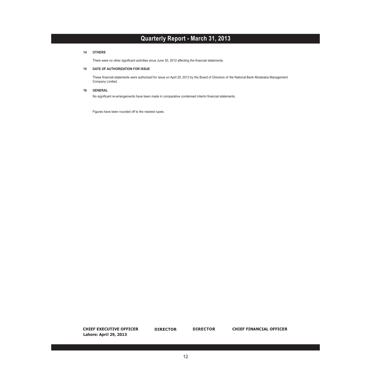#### **14 OTHERS**

There were no other significant activities since June 30, 2012 affecting the financial statements.

#### **15 DATE OF AUTHORIZATION FOR ISSUE**

These financial statements were authorized for issue on April 29, 2013 by the Board of Directors of the National Bank Modaraba Management Company Limited.

#### **16 GENERAL**

No significant re-arrangements have been made in comparative condensed interim financial statements.

Figures have been rounded off to the nearest rupee.

**DIRECTOR CHIEF EXECUTIVE OFFICER DIRECTOR DIRECTOR CHIEF FINANCIAL OFFICER Lahore: April 29, 2013**